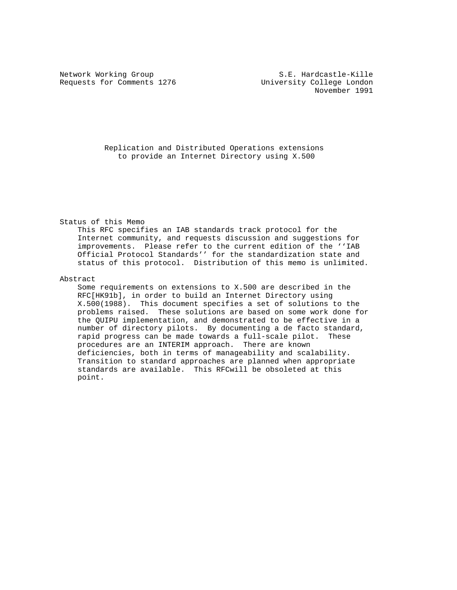Requests for Comments 1276 University College London

 Replication and Distributed Operations extensions to provide an Internet Directory using X.500

Status of this Memo

 This RFC specifies an IAB standards track protocol for the Internet community, and requests discussion and suggestions for improvements. Please refer to the current edition of the ''IAB Official Protocol Standards'' for the standardization state and status of this protocol. Distribution of this memo is unlimited.

## Abstract

 Some requirements on extensions to X.500 are described in the RFC[HK91b], in order to build an Internet Directory using X.500(1988). This document specifies a set of solutions to the problems raised. These solutions are based on some work done for the QUIPU implementation, and demonstrated to be effective in a number of directory pilots. By documenting a de facto standard, rapid progress can be made towards a full-scale pilot. These procedures are an INTERIM approach. There are known deficiencies, both in terms of manageability and scalability. Transition to standard approaches are planned when appropriate standards are available. This RFCwill be obsoleted at this point.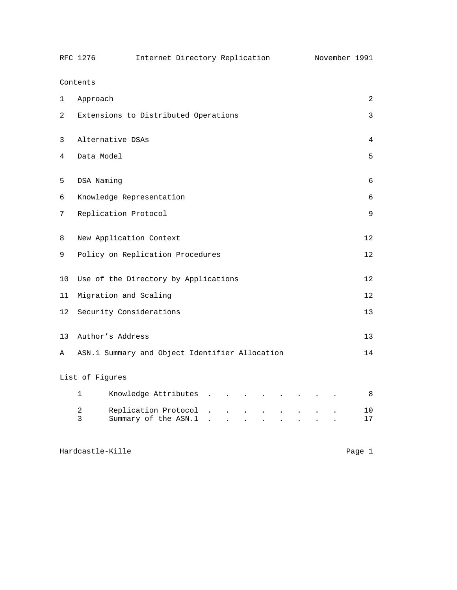|                            | RFC 1276                             | Internet Directory Replication                 |  |   | November 1991 |  |  |
|----------------------------|--------------------------------------|------------------------------------------------|--|---|---------------|--|--|
| Contents                   |                                      |                                                |  |   |               |  |  |
| 1                          | Approach<br>2                        |                                                |  |   |               |  |  |
| 2                          | Extensions to Distributed Operations |                                                |  |   | 3             |  |  |
| 3                          | Alternative DSAs                     |                                                |  | 4 |               |  |  |
| 4                          | Data Model                           |                                                |  |   | 5             |  |  |
| 5                          | DSA Naming                           |                                                |  |   | 6             |  |  |
| 6                          | Knowledge Representation             |                                                |  |   | 6             |  |  |
| 7                          | Replication Protocol                 |                                                |  |   | 9             |  |  |
| 8                          |                                      | New Application Context                        |  |   | 12            |  |  |
| 9                          | Policy on Replication Procedures     |                                                |  |   | 12            |  |  |
| 10                         | Use of the Directory by Applications |                                                |  |   | 12            |  |  |
| 11                         | Migration and Scaling                |                                                |  |   | 12            |  |  |
| 12                         | Security Considerations              |                                                |  |   | 13            |  |  |
| 13                         | Author's Address                     |                                                |  |   | 13            |  |  |
| Α                          |                                      | ASN.1 Summary and Object Identifier Allocation |  |   | 14            |  |  |
| List of Figures            |                                      |                                                |  |   |               |  |  |
|                            | $\mathbf 1$                          | Knowledge Attributes                           |  |   | 8             |  |  |
|                            | 2<br>3                               | Replication Protocol<br>Summary of the ASN.1   |  |   | 10<br>17      |  |  |
| Hardcastle-Kille<br>Page 1 |                                      |                                                |  |   |               |  |  |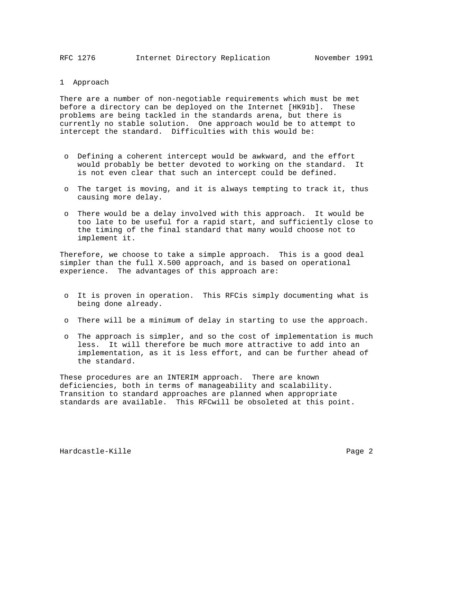RFC 1276 Internet Directory Replication November 1991

# 1 Approach

There are a number of non-negotiable requirements which must be met before a directory can be deployed on the Internet [HK91b]. These problems are being tackled in the standards arena, but there is currently no stable solution. One approach would be to attempt to intercept the standard. Difficulties with this would be:

- o Defining a coherent intercept would be awkward, and the effort would probably be better devoted to working on the standard. It is not even clear that such an intercept could be defined.
- o The target is moving, and it is always tempting to track it, thus causing more delay.
- o There would be a delay involved with this approach. It would be too late to be useful for a rapid start, and sufficiently close to the timing of the final standard that many would choose not to implement it.

Therefore, we choose to take a simple approach. This is a good deal simpler than the full X.500 approach, and is based on operational experience. The advantages of this approach are:

- o It is proven in operation. This RFCis simply documenting what is being done already.
- o There will be a minimum of delay in starting to use the approach.
- o The approach is simpler, and so the cost of implementation is much less. It will therefore be much more attractive to add into an implementation, as it is less effort, and can be further ahead of the standard.

These procedures are an INTERIM approach. There are known deficiencies, both in terms of manageability and scalability. Transition to standard approaches are planned when appropriate standards are available. This RFCwill be obsoleted at this point.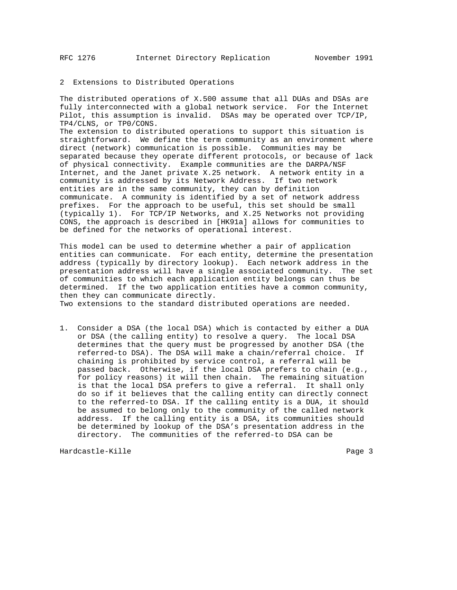### 2 Extensions to Distributed Operations

The distributed operations of X.500 assume that all DUAs and DSAs are fully interconnected with a global network service. For the Internet Pilot, this assumption is invalid. DSAs may be operated over TCP/IP, TP4/CLNS, or TP0/CONS.

The extension to distributed operations to support this situation is straightforward. We define the term community as an environment where direct (network) communication is possible. Communities may be separated because they operate different protocols, or because of lack of physical connectivity. Example communities are the DARPA/NSF Internet, and the Janet private X.25 network. A network entity in a community is addressed by its Network Address. If two network entities are in the same community, they can by definition communicate. A community is identified by a set of network address prefixes. For the approach to be useful, this set should be small (typically 1). For TCP/IP Networks, and X.25 Networks not providing CONS, the approach is described in [HK91a] allows for communities to be defined for the networks of operational interest.

This model can be used to determine whether a pair of application entities can communicate. For each entity, determine the presentation address (typically by directory lookup). Each network address in the presentation address will have a single associated community. The set of communities to which each application entity belongs can thus be determined. If the two application entities have a common community, then they can communicate directly.

Two extensions to the standard distributed operations are needed.

1. Consider a DSA (the local DSA) which is contacted by either a DUA or DSA (the calling entity) to resolve a query. The local DSA determines that the query must be progressed by another DSA (the referred-to DSA). The DSA will make a chain/referral choice. If chaining is prohibited by service control, a referral will be passed back. Otherwise, if the local DSA prefers to chain (e.g., for policy reasons) it will then chain. The remaining situation is that the local DSA prefers to give a referral. It shall only do so if it believes that the calling entity can directly connect to the referred-to DSA. If the calling entity is a DUA, it should be assumed to belong only to the community of the called network address. If the calling entity is a DSA, its communities should be determined by lookup of the DSA's presentation address in the directory. The communities of the referred-to DSA can be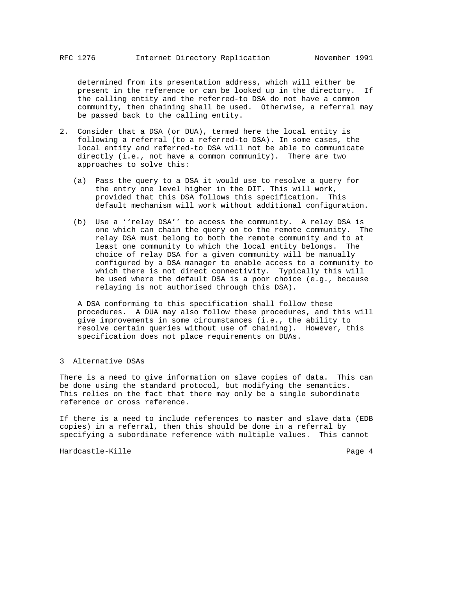determined from its presentation address, which will either be present in the reference or can be looked up in the directory. If the calling entity and the referred-to DSA do not have a common community, then chaining shall be used. Otherwise, a referral may be passed back to the calling entity.

- 2. Consider that a DSA (or DUA), termed here the local entity is following a referral (to a referred-to DSA). In some cases, the local entity and referred-to DSA will not be able to communicate directly (i.e., not have a common community). There are two approaches to solve this:
	- (a) Pass the query to a DSA it would use to resolve a query for the entry one level higher in the DIT. This will work, provided that this DSA follows this specification. This default mechanism will work without additional configuration.
	- (b) Use a ''relay DSA'' to access the community. A relay DSA is one which can chain the query on to the remote community. The relay DSA must belong to both the remote community and to at least one community to which the local entity belongs. The choice of relay DSA for a given community will be manually configured by a DSA manager to enable access to a community to which there is not direct connectivity. Typically this will be used where the default DSA is a poor choice (e.g., because relaying is not authorised through this DSA).

 A DSA conforming to this specification shall follow these procedures. A DUA may also follow these procedures, and this will give improvements in some circumstances (i.e., the ability to resolve certain queries without use of chaining). However, this specification does not place requirements on DUAs.

3 Alternative DSAs

There is a need to give information on slave copies of data. This can be done using the standard protocol, but modifying the semantics. This relies on the fact that there may only be a single subordinate reference or cross reference.

If there is a need to include references to master and slave data (EDB copies) in a referral, then this should be done in a referral by specifying a subordinate reference with multiple values. This cannot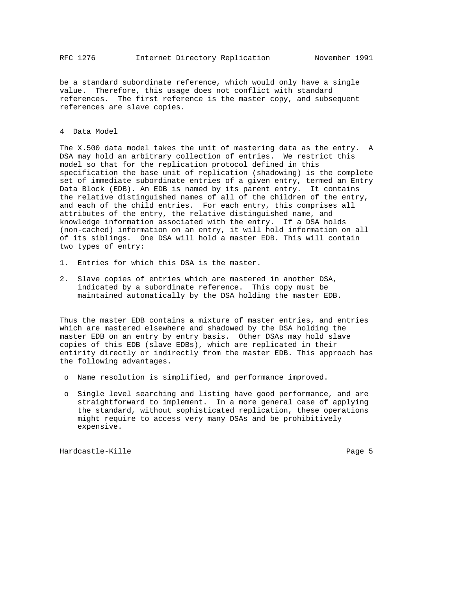be a standard subordinate reference, which would only have a single value. Therefore, this usage does not conflict with standard references. The first reference is the master copy, and subsequent references are slave copies.

### 4 Data Model

The X.500 data model takes the unit of mastering data as the entry. A DSA may hold an arbitrary collection of entries. We restrict this model so that for the replication protocol defined in this specification the base unit of replication (shadowing) is the complete set of immediate subordinate entries of a given entry, termed an Entry Data Block (EDB). An EDB is named by its parent entry. It contains the relative distinguished names of all of the children of the entry, and each of the child entries. For each entry, this comprises all attributes of the entry, the relative distinguished name, and knowledge information associated with the entry. If a DSA holds (non-cached) information on an entry, it will hold information on all of its siblings. One DSA will hold a master EDB. This will contain two types of entry:

- 1. Entries for which this DSA is the master.
- 2. Slave copies of entries which are mastered in another DSA, indicated by a subordinate reference. This copy must be maintained automatically by the DSA holding the master EDB.

Thus the master EDB contains a mixture of master entries, and entries which are mastered elsewhere and shadowed by the DSA holding the master EDB on an entry by entry basis. Other DSAs may hold slave copies of this EDB (slave EDBs), which are replicated in their entirity directly or indirectly from the master EDB. This approach has the following advantages.

- o Name resolution is simplified, and performance improved.
- o Single level searching and listing have good performance, and are straightforward to implement. In a more general case of applying the standard, without sophisticated replication, these operations might require to access very many DSAs and be prohibitively expensive.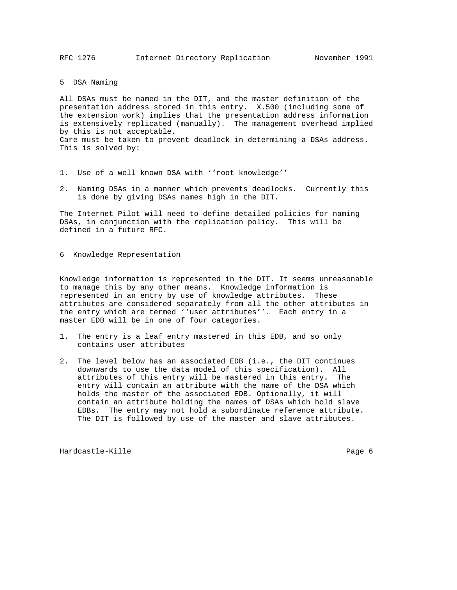5 DSA Naming

All DSAs must be named in the DIT, and the master definition of the presentation address stored in this entry. X.500 (including some of the extension work) implies that the presentation address information is extensively replicated (manually). The management overhead implied by this is not acceptable. Care must be taken to prevent deadlock in determining a DSAs address. This is solved by:

- 1. Use of a well known DSA with ''root knowledge''
- 2. Naming DSAs in a manner which prevents deadlocks. Currently this is done by giving DSAs names high in the DIT.

The Internet Pilot will need to define detailed policies for naming DSAs, in conjunction with the replication policy. This will be defined in a future RFC.

6 Knowledge Representation

Knowledge information is represented in the DIT. It seems unreasonable to manage this by any other means. Knowledge information is represented in an entry by use of knowledge attributes. These attributes are considered separately from all the other attributes in the entry which are termed ''user attributes''. Each entry in a master EDB will be in one of four categories.

- 1. The entry is a leaf entry mastered in this EDB, and so only contains user attributes
- 2. The level below has an associated EDB (i.e., the DIT continues downwards to use the data model of this specification). All attributes of this entry will be mastered in this entry. The entry will contain an attribute with the name of the DSA which holds the master of the associated EDB. Optionally, it will contain an attribute holding the names of DSAs which hold slave EDBs. The entry may not hold a subordinate reference attribute. The DIT is followed by use of the master and slave attributes.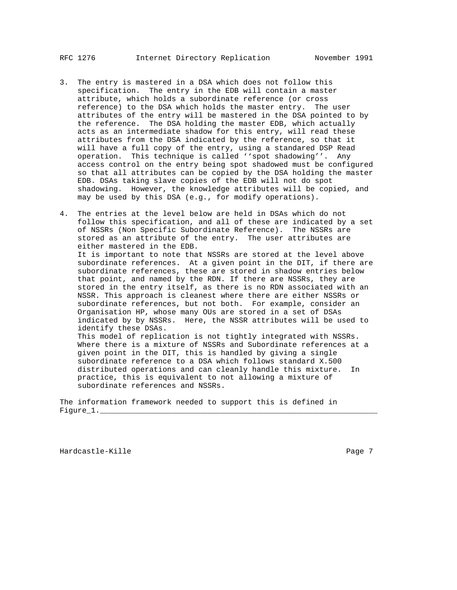- 3. The entry is mastered in a DSA which does not follow this specification. The entry in the EDB will contain a master attribute, which holds a subordinate reference (or cross reference) to the DSA which holds the master entry. The user attributes of the entry will be mastered in the DSA pointed to by the reference. The DSA holding the master EDB, which actually acts as an intermediate shadow for this entry, will read these attributes from the DSA indicated by the reference, so that it will have a full copy of the entry, using a standared DSP Read operation. This technique is called ''spot shadowing''. Any access control on the entry being spot shadowed must be configured so that all attributes can be copied by the DSA holding the master EDB. DSAs taking slave copies of the EDB will not do spot shadowing. However, the knowledge attributes will be copied, and may be used by this DSA (e.g., for modify operations).
- 4. The entries at the level below are held in DSAs which do not follow this specification, and all of these are indicated by a set of NSSRs (Non Specific Subordinate Reference). The NSSRs are stored as an attribute of the entry. The user attributes are either mastered in the EDB. It is important to note that NSSRs are stored at the level above subordinate references. At a given point in the DIT, if there are subordinate references, these are stored in shadow entries below that point, and named by the RDN. If there are NSSRs, they are stored in the entry itself, as there is no RDN associated with an NSSR. This approach is cleanest where there are either NSSRs or subordinate references, but not both. For example, consider an Organisation HP, whose many OUs are stored in a set of DSAs indicated by by NSSRs. Here, the NSSR attributes will be used to identify these DSAs. This model of replication is not tightly integrated with NSSRs. Where there is a mixture of NSSRs and Subordinate references at a given point in the DIT, this is handled by giving a single subordinate reference to a DSA which follows standard X.500 distributed operations and can cleanly handle this mixture. In practice, this is equivalent to not allowing a mixture of subordinate references and NSSRs.

The information framework needed to support this is defined in  $Figure_1.$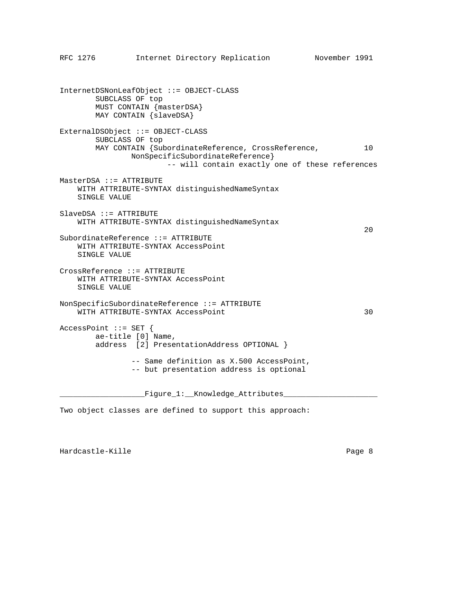InternetDSNonLeafObject ::= OBJECT-CLASS SUBCLASS OF top MUST CONTAIN {masterDSA} MAY CONTAIN {slaveDSA} ExternalDSObject ::= OBJECT-CLASS SUBCLASS OF top MAY CONTAIN {SubordinateReference, CrossReference, 10 NonSpecificSubordinateReference} -- will contain exactly one of these references MasterDSA ::= ATTRIBUTE WITH ATTRIBUTE-SYNTAX distinguishedNameSyntax SINGLE VALUE SlaveDSA ::= ATTRIBUTE WITH ATTRIBUTE-SYNTAX distinguishedNameSyntax  $20$ SubordinateReference ::= ATTRIBUTE WITH ATTRIBUTE-SYNTAX AccessPoint SINGLE VALUE CrossReference ::= ATTRIBUTE WITH ATTRIBUTE-SYNTAX AccessPoint SINGLE VALUE NonSpecificSubordinateReference ::= ATTRIBUTE WITH ATTRIBUTE-SYNTAX AccessPoint 30 AccessPoint ::= SET { ae-title [0] Name, address [2] PresentationAddress OPTIONAL } -- Same definition as X.500 AccessPoint, -- but presentation address is optional

RFC 1276 Internet Directory Replication November 1991

\_\_\_\_\_\_\_\_\_\_\_\_\_\_\_\_\_\_\_Figure\_1:\_\_Knowledge\_Attributes\_\_\_\_\_\_\_\_\_\_\_\_\_\_\_\_\_\_\_\_\_

Two object classes are defined to support this approach: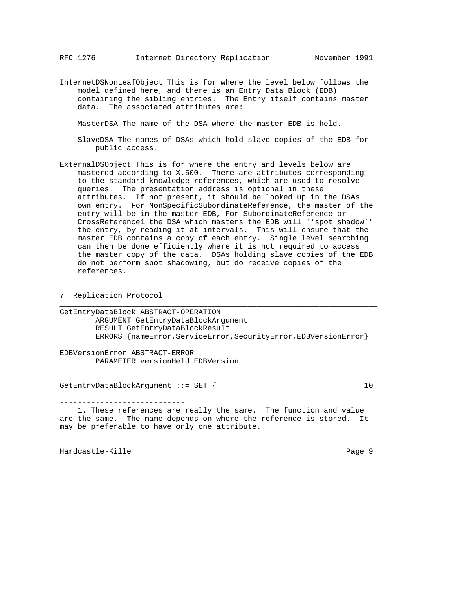InternetDSNonLeafObject This is for where the level below follows the model defined here, and there is an Entry Data Block (EDB) containing the sibling entries. The Entry itself contains master data. The associated attributes are:

MasterDSA The name of the DSA where the master EDB is held.

- SlaveDSA The names of DSAs which hold slave copies of the EDB for public access.
- ExternalDSObject This is for where the entry and levels below are mastered according to X.500. There are attributes corresponding to the standard knowledge references, which are used to resolve queries. The presentation address is optional in these attributes. If not present, it should be looked up in the DSAs own entry. For NonSpecificSubordinateReference, the master of the entry will be in the master EDB, For SubordinateReference or CrossReference1 the DSA which masters the EDB will ''spot shadow'' the entry, by reading it at intervals. This will ensure that the master EDB contains a copy of each entry. Single level searching can then be done efficiently where it is not required to access the master copy of the data. DSAs holding slave copies of the EDB do not perform spot shadowing, but do receive copies of the references.

7 Replication Protocol

GetEntryDataBlock ABSTRACT-OPERATION ARGUMENT GetEntryDataBlockArgument RESULT GetEntryDataBlockResult ERRORS {nameError, ServiceError, SecurityError, EDBVersionError}

\_\_\_\_\_\_\_\_\_\_\_\_\_\_\_\_\_\_\_\_\_\_\_\_\_\_\_\_\_\_\_\_\_\_\_\_\_\_\_\_\_\_\_\_\_\_\_\_\_\_\_\_\_\_\_\_\_\_\_\_\_\_\_\_\_\_\_\_\_\_\_

EDBVersionError ABSTRACT-ERROR PARAMETER versionHeld EDBVersion

GetEntryDataBlockArgument ::= SET { 10

----------------------------

 1. These references are really the same. The function and value are the same. The name depends on where the reference is stored. It may be preferable to have only one attribute.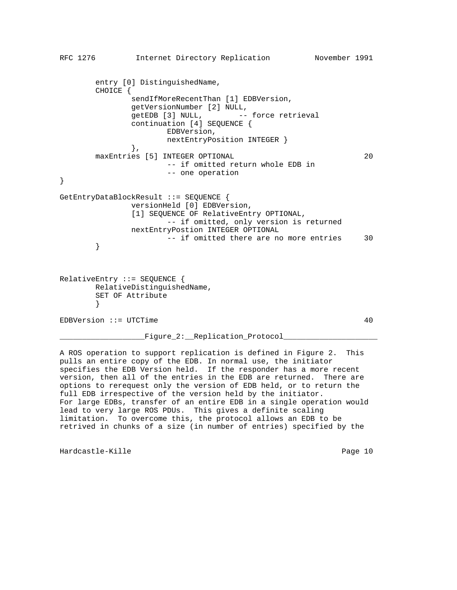```
RFC 1276 Internet Directory Replication November 1991
        entry [0] DistinguishedName,
        CHOICE {
               sendIfMoreRecentThan [1] EDBVersion,
               getVersionNumber [2] NULL,
              getEDB [3] NULL, -- force retrieval
               continuation [4] SEQUENCE {
                       EDBVersion,
                       nextEntryPosition INTEGER }
               },
       maxEntries [5] INTEGER OPTIONAL 20
                       -- if omitted return whole EDB in
                       -- one operation
}
GetEntryDataBlockResult ::= SEQUENCE {
               versionHeld [0] EDBVersion,
               [1] SEQUENCE OF RelativeEntry OPTIONAL,
                       -- if omitted, only version is returned
               nextEntryPostion INTEGER OPTIONAL
                      -- if omitted there are no more entries 30
        }
RelativeEntry ::= SEQUENCE {
        RelativeDistinguishedName,
        SET OF Attribute
        }
EDBVersion ::= UTCTime 40
                \_ Figure\_2:\_ Replication\_ Protocol\_
```
A ROS operation to support replication is defined in Figure 2. This pulls an entire copy of the EDB. In normal use, the initiator specifies the EDB Version held. If the responder has a more recent version, then all of the entries in the EDB are returned. There are options to rerequest only the version of EDB held, or to return the full EDB irrespective of the version held by the initiator. For large EDBs, transfer of an entire EDB in a single operation would lead to very large ROS PDUs. This gives a definite scaling limitation. To overcome this, the protocol allows an EDB to be retrived in chunks of a size (in number of entries) specified by the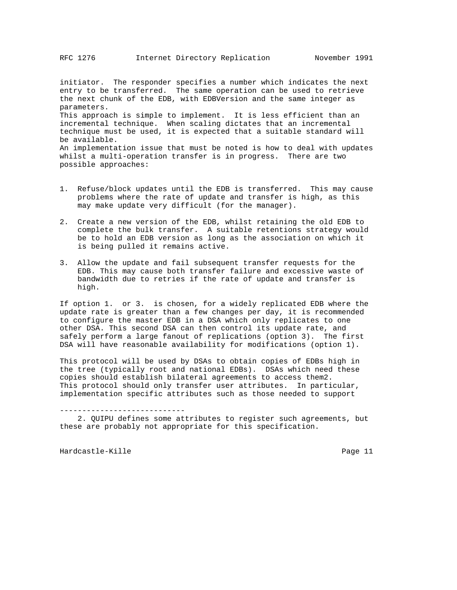initiator. The responder specifies a number which indicates the next entry to be transferred. The same operation can be used to retrieve the next chunk of the EDB, with EDBVersion and the same integer as parameters. This approach is simple to implement. It is less efficient than an incremental technique. When scaling dictates that an incremental technique must be used, it is expected that a suitable standard will be available. An implementation issue that must be noted is how to deal with updates whilst a multi-operation transfer is in progress. There are two possible approaches:

- 1. Refuse/block updates until the EDB is transferred. This may cause problems where the rate of update and transfer is high, as this may make update very difficult (for the manager).
- 2. Create a new version of the EDB, whilst retaining the old EDB to complete the bulk transfer. A suitable retentions strategy would be to hold an EDB version as long as the association on which it is being pulled it remains active.
- 3. Allow the update and fail subsequent transfer requests for the EDB. This may cause both transfer failure and excessive waste of bandwidth due to retries if the rate of update and transfer is high.

If option 1. or 3. is chosen, for a widely replicated EDB where the update rate is greater than a few changes per day, it is recommended to configure the master EDB in a DSA which only replicates to one other DSA. This second DSA can then control its update rate, and safely perform a large fanout of replications (option 3). The first DSA will have reasonable availability for modifications (option 1).

This protocol will be used by DSAs to obtain copies of EDBs high in the tree (typically root and national EDBs). DSAs which need these copies should establish bilateral agreements to access them2. This protocol should only transfer user attributes. In particular, implementation specific attributes such as those needed to support

----------------------------

 2. QUIPU defines some attributes to register such agreements, but these are probably not appropriate for this specification.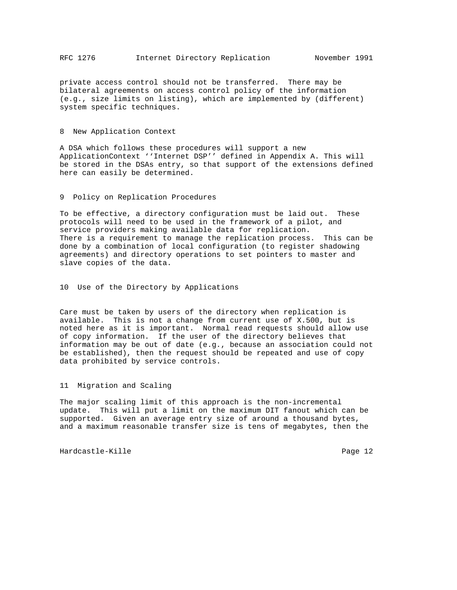private access control should not be transferred. There may be bilateral agreements on access control policy of the information (e.g., size limits on listing), which are implemented by (different) system specific techniques.

## 8 New Application Context

A DSA which follows these procedures will support a new ApplicationContext ''Internet DSP'' defined in Appendix A. This will be stored in the DSAs entry, so that support of the extensions defined here can easily be determined.

9 Policy on Replication Procedures

To be effective, a directory configuration must be laid out. These protocols will need to be used in the framework of a pilot, and service providers making available data for replication. There is a requirement to manage the replication process. This can be done by a combination of local configuration (to register shadowing agreements) and directory operations to set pointers to master and slave copies of the data.

10 Use of the Directory by Applications

Care must be taken by users of the directory when replication is available. This is not a change from current use of X.500, but is noted here as it is important. Normal read requests should allow use of copy information. If the user of the directory believes that information may be out of date (e.g., because an association could not be established), then the request should be repeated and use of copy data prohibited by service controls.

11 Migration and Scaling

The major scaling limit of this approach is the non-incremental update. This will put a limit on the maximum DIT fanout which can be supported. Given an average entry size of around a thousand bytes, and a maximum reasonable transfer size is tens of megabytes, then the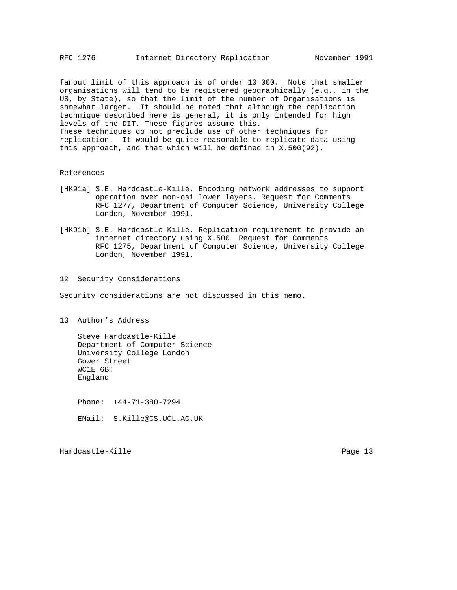fanout limit of this approach is of order 10 000. Note that smaller organisations will tend to be registered geographically (e.g., in the US, by State), so that the limit of the number of Organisations is somewhat larger. It should be noted that although the replication technique described here is general, it is only intended for high levels of the DIT. These figures assume this. These techniques do not preclude use of other techniques for replication. It would be quite reasonable to replicate data using this approach, and that which will be defined in X.500(92).

#### References

- [HK91a] S.E. Hardcastle-Kille. Encoding network addresses to support operation over non-osi lower layers. Request for Comments RFC 1277, Department of Computer Science, University College London, November 1991.
- [HK91b] S.E. Hardcastle-Kille. Replication requirement to provide an internet directory using X.500. Request for Comments RFC 1275, Department of Computer Science, University College London, November 1991.

# 12 Security Considerations

Security considerations are not discussed in this memo.

13 Author's Address

 Steve Hardcastle-Kille Department of Computer Science University College London Gower Street WC1E 6BT England

 Phone: +44-71-380-7294 EMail: S.Kille@CS.UCL.AC.UK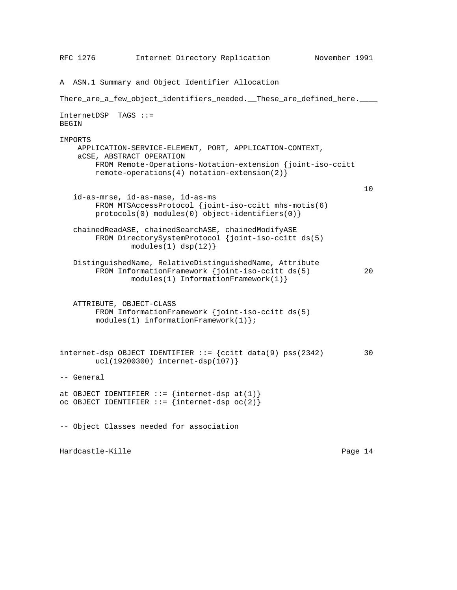RFC 1276 Internet Directory Replication November 1991 A ASN.1 Summary and Object Identifier Allocation There\_are\_a\_few\_object\_identifiers\_needed.\_\_These\_are\_defined\_here.\_\_\_\_ InternetDSP TAGS ::= BEGIN IMPORTS APPLICATION-SERVICE-ELEMENT, PORT, APPLICATION-CONTEXT, aCSE, ABSTRACT OPERATION FROM Remote-Operations-Notation-extension {joint-iso-ccitt remote-operations(4) notation-extension(2)} 10 id-as-mrse, id-as-mase, id-as-ms FROM MTSAccessProtocol {joint-iso-ccitt mhs-motis(6) protocols(0) modules(0) object-identifiers(0)} chainedReadASE, chainedSearchASE, chainedModifyASE FROM DirectorySystemProtocol {joint-iso-ccitt ds(5)  $modules(1)$   $disp(12)$ } DistinguishedName, RelativeDistinguishedName, Attribute FROM InformationFramework {joint-iso-ccitt ds(5) 20 modules(1) InformationFramework(1)} ATTRIBUTE, OBJECT-CLASS FROM InformationFramework {joint-iso-ccitt ds(5)  $modules(1)$  informationFramework(1) }; internet-dsp OBJECT IDENTIFIER ::= {ccitt data(9) pss(2342) 30 ucl(19200300) internet-dsp(107)} -- General at OBJECT IDENTIFIER  $::=$  {internet-dsp at(1)} oc OBJECT IDENTIFIER  $::=$  {internet-dsp oc(2)} -- Object Classes needed for association Hardcastle-Kille **Page 14**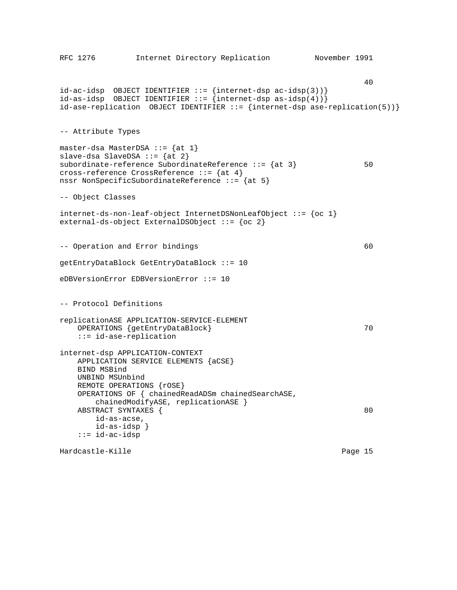```
RFC 1276 Internet Directory Replication November 1991
 40
id-ac-idsp OBJECT IDENTIFIER ::= {internet-dsp ac-idsp(3))}
id-as-idsp OBJECT IDENTIFIER ::= {internet-dsp as-idsp(4))}
id-ase-replication OBJECT IDENTIFIER ::= {internet-dsp ase-replication(5))}
-- Attribute Types
master-dsa MasterDSA ::= \{at 1\}slave-dsa SlaveDSA ::= \{at 2\}subordinate-reference SubordinateReference ::= {at 3} 50
cross-reference CrossReference ::= {at 4}
nssr NonSpecificSubordinateReference ::= {at 5}
-- Object Classes
internet-ds-non-leaf-object InternetDSNonLeafObject ::= {oc 1}
external-ds-object ExternalDSObject ::= {oc 2}
-- Operation and Error bindings and the set of \sim 60
getEntryDataBlock GetEntryDataBlock ::= 10
eDBVersionError EDBVersionError ::= 10
-- Protocol Definitions
replicationASE APPLICATION-SERVICE-ELEMENT
   OPERATIONS {getEntryDataBlock} 70
    ::= id-ase-replication
internet-dsp APPLICATION-CONTEXT
    APPLICATION SERVICE ELEMENTS {aCSE}
    BIND MSBind
    UNBIND MSUnbind
   REMOTE OPERATIONS { roSE }
    OPERATIONS OF { chainedReadADSm chainedSearchASE,
       chainedModifyASE, replicationASE }
   ABSTRACT SYNTAXES { 80
       id-as-acse,
       id-as-idsp }
    ::= id-ac-idsp
Hardcastle-Kille Page 15
```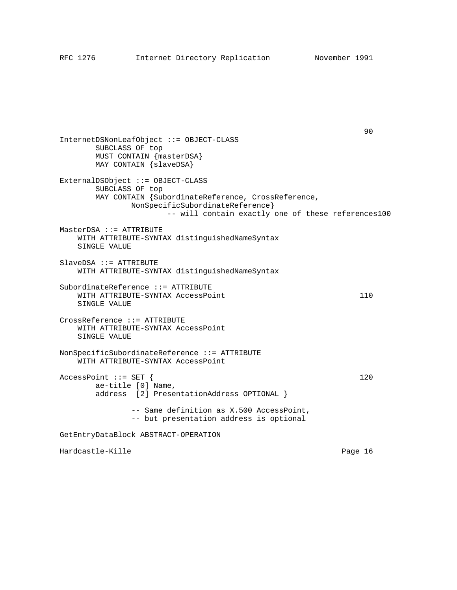Property and the contract of the contract of the contract of the contract of the contract of the contract of t<br>
90

InternetDSNonLeafObject ::= OBJECT-CLASS SUBCLASS OF top MUST CONTAIN {masterDSA} MAY CONTAIN {slaveDSA} ExternalDSObject ::= OBJECT-CLASS SUBCLASS OF top MAY CONTAIN {SubordinateReference, CrossReference, NonSpecificSubordinateReference} -- will contain exactly one of these references100 MasterDSA ::= ATTRIBUTE WITH ATTRIBUTE-SYNTAX distinguishedNameSyntax SINGLE VALUE SlaveDSA ::= ATTRIBUTE WITH ATTRIBUTE-SYNTAX distinguishedNameSyntax SubordinateReference ::= ATTRIBUTE WITH ATTRIBUTE-SYNTAX AccessPoint 110 SINGLE VALUE CrossReference ::= ATTRIBUTE WITH ATTRIBUTE-SYNTAX AccessPoint SINGLE VALUE NonSpecificSubordinateReference ::= ATTRIBUTE WITH ATTRIBUTE-SYNTAX AccessPoint  $AccessPoint :: = SET$  { 120 ae-title [0] Name, address [2] PresentationAddress OPTIONAL } -- Same definition as X.500 AccessPoint, -- but presentation address is optional GetEntryDataBlock ABSTRACT-OPERATION Hardcastle-Kille **Page 16** and the Page 16 and the Page 16 and the Page 16 and the Page 16 and the Page 16 and the Page 16 and the Page 16 and the Page 16 and the Page 16 and the Page 16 and the Page 16 and the Page 16 and